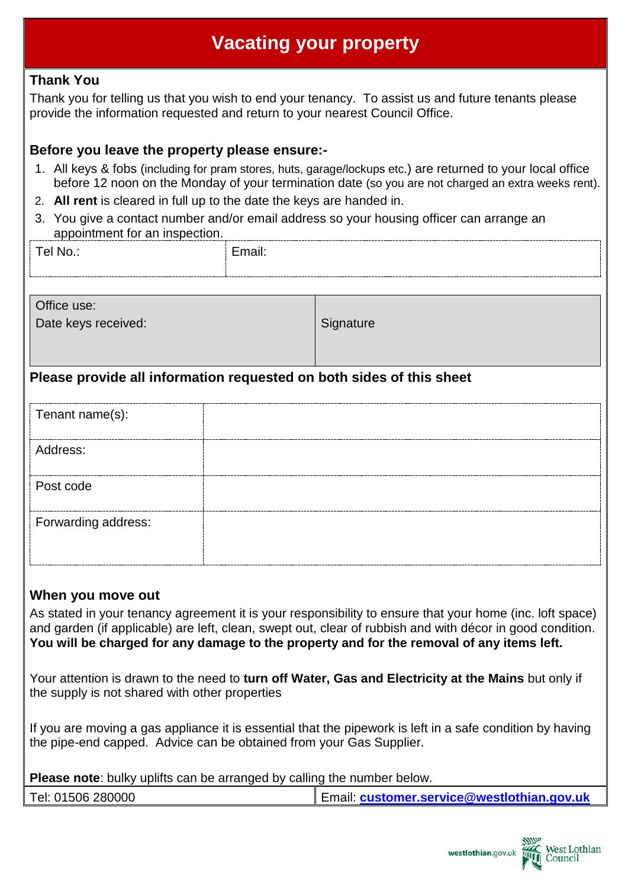# **Vacating your property**

## **Thank You**

Thank you for telling us that you wish to end your tenancy. To assist us and future tenants please provide the information requested and return to your nearest Council Office.

### **Before you leave the property please ensure:-**

- 1. All keys & fobs (including for pram stores, huts, garage/lockups etc.) are returned to your local office before 12 noon on the Monday of your termination date (so you are not charged an extra weeks rent).
- 2. **All rent** is cleared in full up to the date the keys are handed in.
- 3. You give a contact number and/or email address so your housing officer can arrange an appointment for an inspection.

| Tel No.: | Email: | __________________ |
|----------|--------|--------------------|
|          |        |                    |
|          |        |                    |

| Office use:<br>Date keys received: | Signature |
|------------------------------------|-----------|
|                                    |           |

## **Please provide all information requested on both sides of this sheet**

| Tenant name(s):     |  |
|---------------------|--|
| Address:            |  |
| Post code           |  |
| Forwarding address: |  |

#### **When you move out**

As stated in your tenancy agreement it is your responsibility to ensure that your home (inc. loft space) and garden (if applicable) are left, clean, swept out, clear of rubbish and with décor in good condition. **You will be charged for any damage to the property and for the removal of any items left.**

Your attention is drawn to the need to **turn off Water, Gas and Electricity at the Mains** but only if the supply is not shared with other properties

If you are moving a gas appliance it is essential that the pipework is left in a safe condition by having the pipe-end capped. Advice can be obtained from your Gas Supplier.

**Please note**: bulky uplifts can be arranged by calling the number below.

| Tel: 01506 280000 | Email: customer.service@westlothian.gov.uk |
|-------------------|--------------------------------------------|
|-------------------|--------------------------------------------|